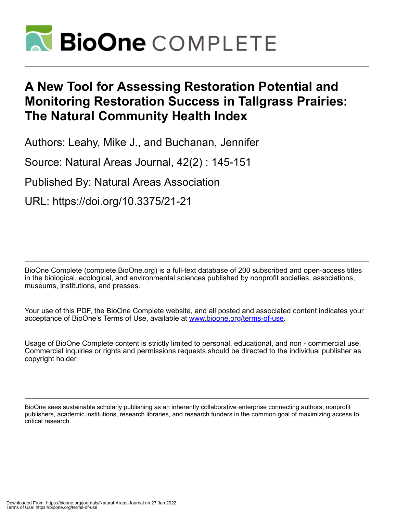

# **A New Tool for Assessing Restoration Potential and Monitoring Restoration Success in Tallgrass Prairies: The Natural Community Health Index**

Authors: Leahy, Mike J., and Buchanan, Jennifer

Source: Natural Areas Journal, 42(2) : 145-151

Published By: Natural Areas Association

URL: https://doi.org/10.3375/21-21

BioOne Complete (complete.BioOne.org) is a full-text database of 200 subscribed and open-access titles in the biological, ecological, and environmental sciences published by nonprofit societies, associations, museums, institutions, and presses.

Your use of this PDF, the BioOne Complete website, and all posted and associated content indicates your acceptance of BioOne's Terms of Use, available at www.bioone.org/terms-of-use.

Usage of BioOne Complete content is strictly limited to personal, educational, and non - commercial use. Commercial inquiries or rights and permissions requests should be directed to the individual publisher as copyright holder.

BioOne sees sustainable scholarly publishing as an inherently collaborative enterprise connecting authors, nonprofit publishers, academic institutions, research libraries, and research funders in the common goal of maximizing access to critical research.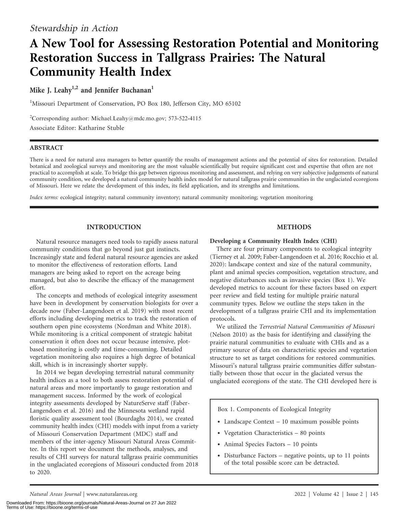## A New Tool for Assessing Restoration Potential and Monitoring Restoration Success in Tallgrass Prairies: The Natural Community Health Index

## Mike J. Leahy<sup>1,2</sup> and Jennifer Buchanan<sup>1</sup>

<sup>1</sup>Missouri Department of Conservation, PO Box 180, Jefferson City, MO 65102

<sup>2</sup>Corresponding author: Michael.Leahy@mdc.mo.gov; 573-522-4115 Associate Editor: Katharine Stuble

## ABSTRACT

There is a need for natural area managers to better quantify the results of management actions and the potential of sites for restoration. Detailed botanical and zoological surveys and monitoring are the most valuable scientifically but require significant cost and expertise that often are not practical to accomplish at scale. To bridge this gap between rigorous monitoring and assessment, and relying on very subjective judgements of natural community condition, we developed a natural community health index model for natural tallgrass prairie communities in the unglaciated ecoregions of Missouri. Here we relate the development of this index, its field application, and its strengths and limitations.

Index terms: ecological integrity; natural community inventory; natural community monitoring; vegetation monitoring

## INTRODUCTION

Natural resource managers need tools to rapidly assess natural community conditions that go beyond just gut instincts. Increasingly state and federal natural resource agencies are asked to monitor the effectiveness of restoration efforts. Land managers are being asked to report on the acreage being managed, but also to describe the efficacy of the management effort.

The concepts and methods of ecological integrity assessment have been in development by conservation biologists for over a decade now (Faber-Langendoen et al. 2019) with most recent efforts including developing metrics to track the restoration of southern open pine ecosystems (Nordman and White 2018). While monitoring is a critical component of strategic habitat conservation it often does not occur because intensive, plotbased monitoring is costly and time-consuming. Detailed vegetation monitoring also requires a high degree of botanical skill, which is in increasingly shorter supply.

In 2014 we began developing terrestrial natural community health indices as a tool to both assess restoration potential of natural areas and more importantly to gauge restoration and management success. Informed by the work of ecological integrity assessments developed by NatureServe staff (Faber-Langendoen et al. 2016) and the Minnesota wetland rapid floristic quality assessment tool (Bourdaghs 2014), we created community health index (CHI) models with input from a variety of Missouri Conservation Department (MDC) staff and members of the inter-agency Missouri Natural Areas Committee. In this report we document the methods, analyses, and results of CHI surveys for natural tallgrass prairie communities in the unglaciated ecoregions of Missouri conducted from 2018 to 2020.

## METHODS

## Developing a Community Health Index (CHI)

There are four primary components to ecological integrity (Tierney et al. 2009; Faber-Langendoen et al. 2016; Rocchio et al. 2020): landscape context and size of the natural community, plant and animal species composition, vegetation structure, and negative disturbances such as invasive species (Box 1). We developed metrics to account for these factors based on expert peer review and field testing for multiple prairie natural community types. Below we outline the steps taken in the development of a tallgrass prairie CHI and its implementation protocols.

We utilized the Terrestrial Natural Communities of Missouri (Nelson 2010) as the basis for identifying and classifying the prairie natural communities to evaluate with CHIs and as a primary source of data on characteristic species and vegetation structure to set as target conditions for restored communities. Missouri's natural tallgrass prairie communities differ substantially between those that occur in the glaciated versus the unglaciated ecoregions of the state. The CHI developed here is

Box 1. Components of Ecological Integrity

- Landscape Context 10 maximum possible points
- Vegetation Characteristics 80 points
- Animal Species Factors 10 points
- Disturbance Factors negative points, up to 11 points of the total possible score can be detracted.

Natural Areas Journal | www.naturalareas.org 2022 | Volume 42 | Issue 2 | 145

Downloaded From: https://bioone.org/journals/Natural-Areas-Journal on 27 Jun 2022 Terms of Use: https://bioone.org/terms-of-use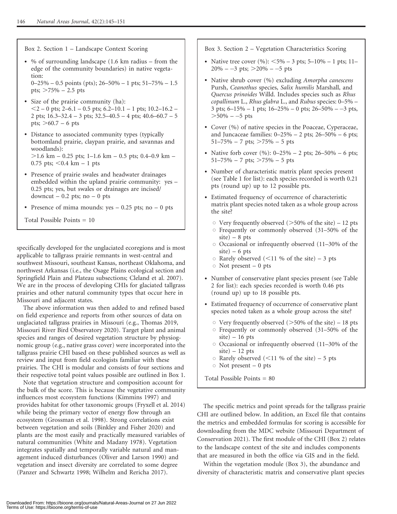Box 2. Section 1 – Landscape Context Scoring

- % of surrounding landscape (1.6 km radius – from the edge of the community boundaries) in native vegetation:

 $0-25\% - 0.5$  points (pts);  $26-50\% - 1$  pts;  $51-75\% - 1.5$ pts;  $>75\% - 2.5$  pts

- Size of the prairie community (ha):  $<$  2 – 0 pts; 2–6.1 – 0.5 pts; 6.2–10.1 – 1 pts; 10.2–16.2 – 2 pts;  $16.3-32.4-3$  pts;  $32.5-40.5-4$  pts;  $40.6-60.7-5$ pts;  $>60.7 - 6$  pts
- Distance to associated community types (typically bottomland prairie, claypan prairie, and savannas and woodlands):  $>1.6$  km – 0.25 pts; 1–1.6 km – 0.5 pts; 0.4–0.9 km –

0.75 pts;  $< 0.4$  km – 1 pts

- Presence of prairie swales and headwater drainages embedded within the upland prairie community: yes – 0.25 pts; yes, but swales or drainages are incised/ downcut  $-0.2$  pts; no  $-0$  pts
- Presence of mima mounds: yes 0.25 pts; no 0 pts

Total Possible Points = 10

specifically developed for the unglaciated ecoregions and is most applicable to tallgrass prairie remnants in west-central and southwest Missouri, southeast Kansas, northeast Oklahoma, and northwest Arkansas (i.e., the Osage Plains ecological section and Springfield Plain and Plateau subsections; Cleland et al. 2007). We are in the process of developing CHIs for glaciated tallgrass prairies and other natural community types that occur here in Missouri and adjacent states.

The above information was then added to and refined based on field experience and reports from other sources of data on unglaciated tallgrass prairies in Missouri (e.g., Thomas 2019, Missouri River Bird Observatory 2020). Target plant and animal species and ranges of desired vegetation structure by physiognomic group (e.g., native grass cover) were incorporated into the tallgrass prairie CHI based on these published sources as well as review and input from field ecologists familiar with these prairies. The CHI is modular and consists of four sections and their respective total point values possible are outlined in Box 1.

Note that vegetation structure and composition account for the bulk of the score. This is because the vegetative community influences most ecosystem functions (Kimmins 1997) and provides habitat for other taxonomic groups (Fryxell et al. 2014) while being the primary vector of energy flow through an ecosystem (Grossman et al. 1998). Strong correlations exist between vegetation and soils (Binkley and Fisher 2020) and plants are the most easily and practically measured variables of natural communities (White and Madany 1978). Vegetation integrates spatially and temporally variable natural and management induced disturbances (Oliver and Larson 1990) and vegetation and insect diversity are correlated to some degree (Panzer and Schwartz 1998; Wilhelm and Rericha 2017).

Box 3. Section 2 – Vegetation Characteristics Scoring

- Native tree cover  $(\%):$  <5% 3 pts; 5–10% 1 pts; 11–  $20\%$  – -3 pts;  $>$  20% – -5 pts
- Native shrub cover (%) excluding Amorpha canescens Pursh, Ceanothus species, Salix humilis Marshall, and Quercus prinoides Willd. Includes species such as Rhus copallinum L., Rhus glabra L., and Rubus species: 0–5% – 3 pts;  $6-15\% - 1$  pts;  $16-25\% - 0$  pts;  $26-50\% - 3$  pts,  $>50\% - 5$  pts
- Cover (%) of native species in the Poaceae, Cyperaceae, and Juncaceae families:  $0-25% - 2$  pts;  $26-50% - 6$  pts;  $51-75\% - 7$  pts;  $>75\% - 5$  pts
- Native forb cover  $(\%): 0-25\% 2 \text{ pts}; 26-50\% 6 \text{ pts};$  $51-75\% - 7$  pts;  $>75\% - 5$  pts
- Number of characteristic matrix plant species present (see Table 1 for list): each species recorded is worth 0.21 pts (round up) up to 12 possible pts.
- Estimated frequency of occurrence of characteristic matrix plant species noted taken as a whole group across the site?
	- $\circ$  Very frequently observed ( $>50\%$  of the site) 12 pts
	- $\circ$  Frequently or commonly observed (31–50% of the  $site) - 8$  pts
	- $\circ$  Occasional or infrequently observed (11–30% of the  $site$ ) – 6 pts
	- $\circ$  Rarely observed (<11 % of the site) 3 pts
	- $\circ$  Not present 0 pts
- Number of conservative plant species present (see Table 2 for list): each species recorded is worth 0.46 pts (round up) up to 18 possible pts.
- Estimated frequency of occurrence of conservative plant species noted taken as a whole group across the site?
	- $\circ$  Very frequently observed ( $>50\%$  of the site) 18 pts
	- $\circ$  Frequently or commonly observed (31–50% of the  $site) - 16$  pts
	- $\circ$  Occasional or infrequently observed (11–30% of the  $site) - 12$  pts
	- $\circ$  Rarely observed (<11 % of the site) 5 pts
	- $\circ$  Not present 0 pts

Total Possible Points = 80

The specific metrics and point spreads for the tallgrass prairie CHI are outlined below. In addition, an Excel file that contains the metrics and embedded formulas for scoring is accessible for downloading from the MDC website (Missouri Department of Conservation 2021). The first module of the CHI (Box 2) relates to the landscape context of the site and includes components that are measured in both the office via GIS and in the field.

Within the vegetation module (Box 3), the abundance and diversity of characteristic matrix and conservative plant species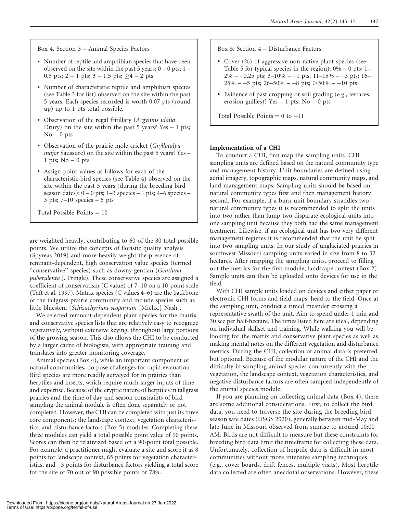Box 4. Section 3 – Animal Species Factors

- Number of reptile and amphibian species that have been observed on the site within the past 5 years:  $0 - 0$  pts;  $1 -$ 0.5 pts;  $2 - 1$  pts;  $3 - 1.5$  pts;  $\geq 4 - 2$  pts
- Number of characteristic reptile and amphibian species (see Table 3 for list) observed on the site within the past 5 years. Each species recorded is worth 0.07 pts (round up) up to 1 pts total possible.
- Observation of the regal fritillary (Argynnis idalia Drury) on the site within the past  $5$  years? Yes  $-1$  pts;  $No - 0$  pts
- Observation of the prairie mole cricket (Gryllotalpa major Saussure) on the site within the past 5 years? Yes – 1 pts;  $No - 0$  pts
- Assign point values as follows for each of the characteristic bird species (see Table 4) observed on the site within the past 5 years (during the breeding bird season dates):  $0 - 0$  pts;  $1 - 3$  species  $-1$  pts;  $4 - 6$  species  $3 \text{ pts}; 7–10 \text{ species} - 5 \text{ pts}$

Total Possible Points = 10

are weighted heavily, contributing to 60 of the 80 total possible points. We utilize the concepts of floristic quality analysis (Spyreas 2019) and more heavily weight the presence of remnant-dependent, high conservation value species (termed "conservative" species) such as downy gentian (Gentiana puberulenta J. Pringle). These conservative species are assigned a coefficient of conservatism (C value) of 7–10 on a 10-point scale (Taft et al. 1997). Matrix species (C values 4–6) are the backbone of the tallgrass prairie community and include species such as little bluestem (Schizachyrium scoparium [Michx.] Nash).

We selected remnant-dependent plant species for the matrix and conservative species lists that are relatively easy to recognize vegetatively, without extensive keying, throughout large portions of the growing season. This also allows the CHI to be conducted by a larger cadre of biologists, with appropriate training and translates into greater monitoring coverage.

Animal species (Box 4), while an important component of natural communities, do pose challenges for rapid evaluation. Bird species are more readily surveyed for in prairies than herptiles and insects, which require much larger inputs of time and expertise. Because of the cryptic nature of herptiles in tallgrass prairies and the time of day and season constraints of bird sampling the animal module is often done separately or not completed. However, the CHI can be completed with just its three core components: the landscape context, vegetation characteristics, and disturbance factors (Box 5) modules. Completing these three modules can yield a total possible point value of 90 points. Scores can then be relativized based on a 90-point total possible. For example, a practitioner might evaluate a site and score it as 8 points for landscape context, 65 points for vegetation characteristics, and  $-3$  points for disturbance factors yielding a total score for the site of 70 out of 90 possible points or 78%.

Box 5. Section 4 – Disturbance Factors

- Cover (%) of aggressive non-native plant species (see Table 5 for typical species in the region):  $0\% - 0$  pts; 1–  $2\% - 0.25$  pts;  $3 - 10\% - 1$  pts;  $11 - 15\% - 3$  pts;  $16 25\%$  – -5 pts;  $26-50\%$  – -8 pts;  $>50\%$  – -10 pts
- Evidence of past cropping or soil grading (e.g., terraces, erosion gullies)? Yes  $-1$  pts; No  $-0$  pts

Total Possible Points  $= 0$  to  $-11$ 

#### Implementation of a CHI

To conduct a CHI, first map the sampling units. CHI sampling units are defined based on the natural community type and management history. Unit boundaries are defined using aerial imagery, topographic maps, natural community maps, and land management maps. Sampling units should be based on natural community types first and then management history second. For example, if a burn unit boundary straddles two natural community types it is recommended to split the units into two rather than lump two disparate ecological units into one sampling unit because they both had the same management treatment. Likewise, if an ecological unit has two very different management regimes it is recommended that the unit be split into two sampling units. In our study of unglaciated prairies in southwest Missouri sampling units varied in size from 8 to 32 hectares. After mapping the sampling units, proceed to filling out the metrics for the first module, landscape context (Box 2). Sample units can then be uploaded onto devices for use in the field.

With CHI sample units loaded on devices and either paper or electronic CHI forms and field maps, head to the field. Once at the sampling unit, conduct a timed meander crossing a representative swath of the unit. Aim to spend under 1 min and 30 sec per half-hectare. The times listed here are ideal, depending on individual skillset and training. While walking you will be looking for the matrix and conservative plant species as well as making mental notes on the different vegetation and disturbance metrics. During the CHI, collection of animal data is preferred but optional. Because of the modular nature of the CHI and the difficulty in sampling animal species concurrently with the vegetation, the landscape context, vegetation characteristics, and negative disturbance factors are often sampled independently of the animal species module.

If you are planning on collecting animal data (Box 4), there are some additional considerations. First, to collect the bird data, you need to traverse the site during the breeding bird season safe dates (USGS 2020), generally between mid-May and late June in Missouri observed from sunrise to around 10:00 AM. Birds are not difficult to measure but these constraints for breeding bird data limit the timeframe for collecting these data. Unfortunately, collection of herptile data is difficult in most communities without more intensive sampling techniques (e.g., cover boards, drift fences, multiple visits). Most herptile data collected are often anecdotal observations. However, these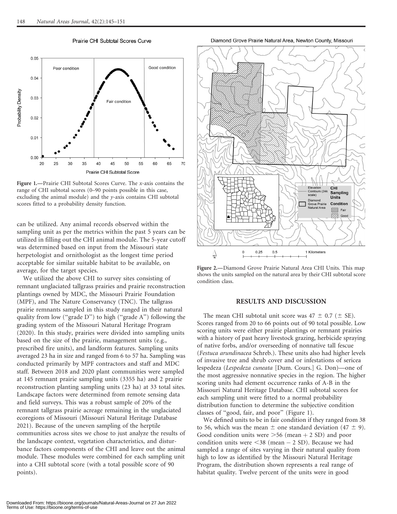

Prairie CHI Subtotal Scores Curve

Figure 1.—Prairie CHI Subtotal Scores Curve. The x-axis contains the range of CHI subtotal scores (0–90 points possible in this case, excluding the animal module) and the y-axis contains CHI subtotal scores fitted to a probability density function.

can be utilized. Any animal records observed within the sampling unit as per the metrics within the past 5 years can be utilized in filling out the CHI animal module. The 5-year cutoff was determined based on input from the Missouri state herpetologist and ornithologist as the longest time period acceptable for similar suitable habitat to be available, on average, for the target species.

We utilized the above CHI to survey sites consisting of remnant unglaciated tallgrass prairies and prairie reconstruction plantings owned by MDC, the Missouri Prairie Foundation (MPF), and The Nature Conservancy (TNC). The tallgrass prairie remnants sampled in this study ranged in their natural quality from low (''grade D'') to high (''grade A'') following the grading system of the Missouri Natural Heritage Program (2020). In this study, prairies were divided into sampling units based on the size of the prairie, management units (e.g., prescribed fire units), and landform features. Sampling units averaged 23 ha in size and ranged from 6 to 57 ha. Sampling was conducted primarily by MPF contractors and staff and MDC staff. Between 2018 and 2020 plant communities were sampled at 145 remnant prairie sampling units (3355 ha) and 2 prairie reconstruction planting sampling units (23 ha) at 33 total sites. Landscape factors were determined from remote sensing data and field surveys. This was a robust sample of 20% of the remnant tallgrass prairie acreage remaining in the unglaciated ecoregions of Missouri (Missouri Natural Heritage Database 2021). Because of the uneven sampling of the herptile communities across sites we chose to just analyze the results of the landscape context, vegetation characteristics, and disturbance factors components of the CHI and leave out the animal module. These modules were combined for each sampling unit into a CHI subtotal score (with a total possible score of 90 points).

Diamond Grove Prairie Natural Area, Newton County, Missouri



Figure 2.—Diamond Grove Prairie Natural Area CHI Units. This map shows the units sampled on the natural area by their CHI subtotal score condition class.

### RESULTS AND DISCUSSION

The mean CHI subtotal unit score was  $47 \pm 0.7$  ( $\pm$  SE). Scores ranged from 20 to 66 points out of 90 total possible. Low scoring units were either prairie plantings or remnant prairies with a history of past heavy livestock grazing, herbicide spraying of native forbs, and/or overseeding of nonnative tall fescue (Festuca arundinacea Schreb.). These units also had higher levels of invasive tree and shrub cover and or infestations of sericea lespedeza (Lespedeza cuneata [Dum. Cours.] G. Don)—one of the most aggressive nonnative species in the region. The higher scoring units had element occurrence ranks of A-B in the Missouri Natural Heritage Database. CHI subtotal scores for each sampling unit were fitted to a normal probability distribution function to determine the subjective condition classes of ''good, fair, and poor'' (Figure 1).

We defined units to be in fair condition if they ranged from 38 to 56, which was the mean  $\pm$  one standard deviation (47  $\pm$  9). Good condition units were  $>56$  (mean  $+ 2$  SD) and poor condition units were  $\leq$ 38 (mean  $-$  2 SD). Because we had sampled a range of sites varying in their natural quality from high to low as identified by the Missouri Natural Heritage Program, the distribution shown represents a real range of habitat quality. Twelve percent of the units were in good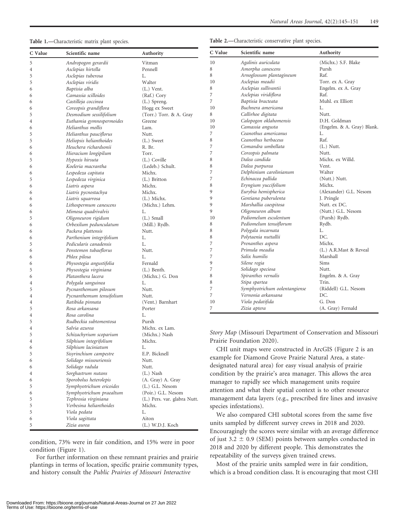#### Table 1.—Characteristic matrix plant species.

| Table 2.-Characteristic conservative plant species. |  |  |
|-----------------------------------------------------|--|--|
|-----------------------------------------------------|--|--|

| C Value        | Scientific name                 | Authority                    | C Value                                                          | Scientific name                                               | Authority                  |
|----------------|---------------------------------|------------------------------|------------------------------------------------------------------|---------------------------------------------------------------|----------------------------|
| $\mathfrak s$  | Andropogon gerardii             | Vitman                       | 10                                                               | Agalinis auriculata                                           | (Michx.) S.F. Blake        |
| $\overline{4}$ | Asclepias hirtella              | Pennell                      | 8                                                                | Amorpha canescens                                             | Pursh                      |
| 5              | Asclepias tuberosa              | L.                           | 8                                                                | Arnoglossum plantagineum                                      | Raf.                       |
| 5              | Asclepias viridis               | Walter                       | 10                                                               | Asclepias meadii                                              | Torr. ex A. Gray           |
| 6              | Baptisia alba                   | $(L.)$ Vent.                 | 8                                                                | Asclepias sullivantii                                         | Engelm. ex A. Gray         |
| 6              | Camassia scilloides             | (Raf.) Cory                  | 7                                                                | Asclepias viridiflora                                         | Raf.                       |
| 6              | Castilleja coccinea             | (L.) Spreng.                 | 7                                                                | Baptisia bracteata                                            | Muhl. ex Elliott           |
| 6              | Coreopsis grandiflora           | Hogg ex Sweet                | 10                                                               | Buchnera americana                                            | L.                         |
| 5              | Desmodium sessilifolium         | (Torr.) Torr. & A. Gray      | 8                                                                | Callirhoe digitata                                            | Nutt.                      |
| $\overline{4}$ | Euthamia gymnospermoides        | Greene                       | 10                                                               | Calopogon oklahomensis                                        | D.H. Goldman               |
| 6              | Helianthus mollis               | Lam.                         | 10                                                               | Camassia angusta                                              | (Engelm. & A. Gray) Blank. |
| 5              | Helianthus pauciflorus          | Nutt.                        | 7                                                                | Ceanothus americanus                                          | L.                         |
| 5              | Heliopsis helianthoides         | (L.) Sweet                   | 8                                                                | Ceanothus herbaceus                                           | Raf.                       |
| 6              | Heuchera richardsonii           | R. Br.                       | 7                                                                | Comandra umbellata                                            | $(L.)$ Nutt.               |
| 6              | Hieracium longipilum            | Torr.                        | 7                                                                | Coreopsis palmata                                             | Nutt.                      |
| 5              | Hypoxis hirsuta                 | (L.) Coville                 | 8                                                                | Dalea candida                                                 | Michx. ex Willd.           |
| 6              | Koeleria macrantha              | (Ledeb.) Schult.             | 8                                                                | Dalea purpurea                                                | Vent.                      |
| 6              | Lespedeza capitata              | Michx.                       | 7                                                                | Delphinium carolinianum                                       | Walter                     |
| 5              | Lespedeza virginica             | (L.) Britton                 | 7                                                                | Echinacea pallida                                             | (Nutt.) Nutt.              |
| 6              | Liatris aspera                  | Michx.                       | 8                                                                | Eryngium yuccifolium                                          | Michx.                     |
| 6              | Liatris pycnostachya            | Michx.                       | 9                                                                | Eurybia hemispherica                                          | (Alexander) G.L. Nesom     |
| 6              | Liatris squarrosa               | (L.) Michx.                  | 9                                                                | Gentiana puberulenta                                          | J. Pringle                 |
| 6              | Lithospermum canescens          | (Michx.) Lehm.               | 9                                                                | Marshallia caespitosa                                         | Nutt. ex DC.               |
| 6              | Mimosa quadrivalvis             | L.                           | 9                                                                | Oligoneuron album                                             | (Nutt.) G.L. Nesom         |
| 5              | Oligoneuron rigidum             | $(L.)$ Small                 | 10                                                               | Pediomelum esculentum                                         | (Pursh) Rydb.              |
| 6              | Orbexilum pedunculatum          | (Mill.) Rydb.                | 8                                                                | Pediomelum tenuiflorum                                        | Rydb.                      |
| 6              | Packera plattensis              | Nutt.                        | 8                                                                | Polygala incarnata                                            | L.                         |
| 6              | Parthenium integrifolium        | L.                           | 8                                                                | Polytaenia nuttallii                                          | DC.                        |
| 5              | Pedicularis canadensis          | L.                           | $\overline{7}$                                                   | Prenanthes aspera                                             | Michx.                     |
| 6              | Penstemon tubaeflorus           | Nutt.                        | 7                                                                | Primula meadia                                                | (L.) A.R.Mast & Reveal     |
| 6              | Phlox pilosa                    | L.                           | 7                                                                | Salix humilis                                                 | Marshall                   |
| 6              | Physostegia angustifolia        | Fernald                      | 9                                                                | Silene regia                                                  | Sims                       |
| 5              | Physostegia virginiana          | $(L.)$ Benth.                | 7                                                                | Solidago speciosa                                             | Nutt.                      |
| 6              | Platanthera lacera              | (Michx.) G. Don              | 8                                                                | Spiranthes vernalis                                           | Engelm. & A. Gray          |
|                | Polygala sanguinea              | L.                           | 8                                                                | Stipa spartea                                                 | Trin.                      |
| 4<br>5         |                                 | Nutt.                        | $\overline{7}$                                                   | Symphyotrichum oolentangiense                                 | (Riddell) G.L. Nesom       |
|                | Pycnanthemum pilosum            |                              | $\overline{7}$                                                   | Vernonia arkansana                                            | DC.                        |
| 4              | Pycnanthemum tenuifolium        | Nutt.                        | 10                                                               | Viola pedatifida                                              | G. Don                     |
| 4              | Ratibida pinnata                | (Vent.) Barnhart             | 7                                                                | Zizia aptera                                                  | (A. Gray) Fernald          |
| 5              | Rosa arkansana<br>Rosa carolina | Porter                       |                                                                  |                                                               |                            |
| $\overline{4}$ | Rudbeckia subtomentosa          | L.                           |                                                                  |                                                               |                            |
| 5              |                                 | Pursh                        |                                                                  |                                                               |                            |
| $\overline{4}$ | Salvia azurea                   | Michx. ex Lam.               |                                                                  | Story Map (Missouri Department of Conservation and Missouri   |                            |
| 5              | Schizachyrium scoparium         | (Michx.) Nash                |                                                                  |                                                               |                            |
| 4              | Silphium integrifolium          | Michx.                       | Prairie Foundation 2020).                                        |                                                               |                            |
| 6              | Silphium laciniatum             | L.                           | CHI unit maps were constructed in ArcGIS (Figure 2 is an         |                                                               |                            |
| 5              | Sisyrinchium campestre          | E.P. Bicknell                | example for Diamond Grove Prairie Natural Area, a state-         |                                                               |                            |
| 6              | Solidago missouriensis          | Nutt.                        |                                                                  |                                                               |                            |
| 6              | Solidago radula                 | Nutt.                        | designated natural area) for easy visual analysis of prairie     |                                                               |                            |
| 4              | Sorghastrum nutans              | $(L.)$ Nash                  |                                                                  | condition by the prairie's area manager. This allows the area |                            |
| 6              | Sporobolus heterolepis          | (A. Gray) A. Gray            | manager to rapidly see which management units require            |                                                               |                            |
| 5              | Symphyotrichum ericoides        | $(L.)$ G.L. Nesom            | attention and what their spatial context is to other resource    |                                                               |                            |
| 6              | Symphyotrichum praealtum        | (Poir.) G.L. Nesom           |                                                                  |                                                               |                            |
| 5              | Tephrosia virginiana            | (L.) Pers. var. glabra Nutt. | management data layers (e.g., prescribed fire lines and invasive |                                                               |                            |
| 5              | Verbesina helianthoides         | Michx.                       | species infestations).                                           |                                                               |                            |
| 5              | Viola pedata                    | L.                           | We also compared CHI subtotal scores from the same five          |                                                               |                            |
| 6              | Viola sagittata                 | Aiton                        | units sampled by different survey crews in 2018 and 2020.        |                                                               |                            |
| 5              | Zizia aurea                     | (L.) W.D.J. Koch             |                                                                  |                                                               |                            |
|                |                                 |                              | Encouragingly the scores were similar with an average difference |                                                               |                            |

condition, 73% were in fair condition, and 15% were in poor condition (Figure 1).

For further information on these remnant prairies and prairie plantings in terms of location, specific prairie community types, and history consult the Public Prairies of Missouri Interactive

Most of the prairie units sampled were in fair condition, which is a broad condition class. It is encouraging that most CHI

of just 3.2  $\pm$  0.9 (SEM) points between samples conducted in 2018 and 2020 by different people. This demonstrates the

repeatability of the surveys given trained crews.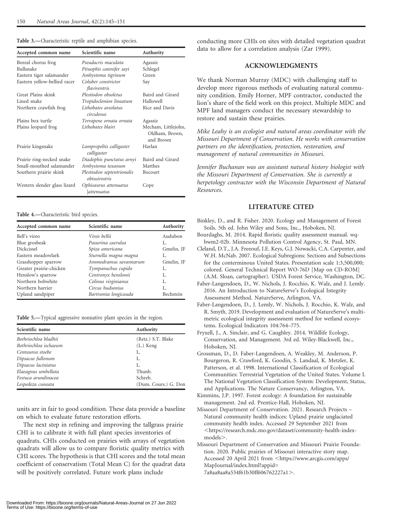| Accepted common name         | Scientific name                             | Authority                                          |
|------------------------------|---------------------------------------------|----------------------------------------------------|
| Boreal chorus frog           | Pseudacris maculata                         | Agassiz                                            |
| Bullsnake                    | Pituophis catenifer sayi                    | Schlegel                                           |
| Eastern tiger salamander     | Ambystoma tigrinum                          | Green                                              |
| Eastern yellow-bellied racer | Coluber constrictor<br>flaviventris         | Say                                                |
| Great Plains skink           | Plestiodon obsoletus                        | Baird and Girard                                   |
| Lined snake                  | Tropidoclonion lineatum                     | Hallowell                                          |
| Northern crawfish frog       | Lithobates areolatus<br>circulosus          | Rice and Davis                                     |
| Plains box turtle            | Terrapene ornata ornata                     | Agassiz                                            |
| Plains leopard frog          | Lithobates blairi                           | Mecham, Littlejohn,<br>Oldham, Brown,<br>and Brown |
| Prairie kingsnake            | Lampropeltis calligaster<br>calligaster     | Harlan                                             |
| Prairie ring-necked snake    | Diadophis punctatus arnyi                   | Baird and Girard                                   |
| Small-mouthed salamander     | Ambystoma texanum                           | Matthes                                            |
| Southern prairie skink       | Plestiodon septentrionalis<br>obtusirostris | Bocourt                                            |
| Western slender glass lizard | Ophisaurus attenuatus<br>attenuatus         | Cope                                               |

#### Table 3.—Characteristic reptile and amphibian species.

#### Table 4.—Characteristic bird species.

| Accepted common name    | Scientific name       | Authority  |
|-------------------------|-----------------------|------------|
| Bell's vireo            | Vireo bellii          | Audubon    |
| Blue grosbeak           | Passerina caerulea    | Ι.         |
| <b>Dickcissel</b>       | Spiza americana       | Gmelin, JF |
| Eastern meadowlark      | Sturnella magna magna | L.         |
| Grasshopper sparrow     | Ammodramus savannarum | Gmelin, JF |
| Greater prairie-chicken | Tympanuchus cupido    | L.         |
| Henslow's sparrow       | Centronyx henslowii   | L.         |
| Northern bobwhite       | Colinus virginianus   | L.         |
| Northern harrier        | Circus hudsonius      | L.         |
| Upland sandpiper        | Bartramia longicauda  | Bechstein  |

Table 5.—Typical aggressive nonnative plant species in the region.

| Scientific name       | Authority            |  |
|-----------------------|----------------------|--|
| Bothriochloa bladhii  | (Retz.) S.T. Blake   |  |
| Bothriochloa ischaeum | $(L.)$ Keng          |  |
| Centaurea stoebe      | L.                   |  |
| Dipsacus fullonum     | L.                   |  |
| Dipsacus laciniatus   | L.                   |  |
| Elaeagnus umbellata   | Thunb.               |  |
| Festuca arundinacea   | Schreb.              |  |
| Lespedeza cuneata     | (Dum. Cours.) G. Don |  |

units are in fair to good condition. These data provide a baseline on which to evaluate future restoration efforts.

The next step in refining and improving the tallgrass prairie CHI is to calibrate it with full plant species inventories of quadrats. CHIs conducted on prairies with arrays of vegetation quadrats will allow us to compare floristic quality metrics with CHI scores. The hypothesis is that CHI scores and the total mean coefficient of conservatism (Total Mean C) for the quadrat data will be positively correlated. Future work plans include

conducting more CHIs on sites with detailed vegetation quadrat data to allow for a correlation analysis (Zar 1999).

## ACKNOWLEDGMENTS

We thank Norman Murray (MDC) with challenging staff to develop more rigorous methods of evaluating natural community condition. Emily Horner, MPF contractor, conducted the lion's share of the field work on this project. Multiple MDC and MPF land managers conduct the necessary stewardship to restore and sustain these prairies.

Mike Leahy is an ecologist and natural areas coordinator with the Missouri Department of Conservation. He works with conservation partners on the identification, protection, restoration, and management of natural communities in Missouri.

Jennifer Buchanan was an assistant natural history biologist with the Missouri Department of Conservation. She is currently a herpetology contractor with the Wisconsin Department of Natural Resources.

### LITERATURE CITED

- Binkley, D., and R. Fisher. 2020. Ecology and Management of Forest Soils. 5th ed. John Wiley and Sons, Inc., Hoboken, NJ.
- Bourdaghs, M. 2014. Rapid floristic quality assessment manual. wqbwm2-02b. Minnesota Pollution Control Agency, St. Paul, MN.
- Cleland, D.T., J.A. Freeouf, J.E. Keys, G.J. Nowacki, C.A. Carpenter, and W.H. McNab. 2007. Ecological Subregions: Sections and Subsections for the conterminous United States. Presentation scale 1:3,500,000; colored. General Technical Report WO-76D [Map on CD-ROM] (A.M. Sloan, cartographer). USDA Forest Service, Washington, DC.
- Faber-Langendoen, D., W. Nichols, J. Rocchio, K. Walz, and J. Lemly. 2016. An Introduction to NatureServe's Ecological Integrity Assessment Method. NatureServe, Arlington, VA.
- Faber-Langendoen, D., J. Lemly, W. Nichols, J. Rocchio, K. Walz, and R. Smyth. 2019. Development and evaluation of NatureServe's multimetric ecological integrity assessment method for wetland ecosystems. Ecological Indicators 104:764–775.
- Fryxell, J., A. Sinclair, and G. Caughley. 2014. Wildlife Ecology, Conservation, and Management. 3rd ed. Wiley-Blackwell, Inc., Hoboken, NJ.
- Grossman, D., D. Faber-Langendoen, A. Weakley, M. Anderson, P. Bourgeron, R. Crawford, K. Goodin, S. Landaal, K. Metzler, K. Patterson, et al. 1998. International Classification of Ecological Communities: Terrestrial Vegetation of the United States. Volume I. The National Vegetation Classification System: Development, Status, and Applications. The Nature Conservancy, Arlington, VA.

Kimmins, J.P. 1997. Forest ecology: A foundation for sustainable management. 2nd ed. Prentice-Hall, Hoboken, NJ.

Missouri Department of Conservation. 2021. Research Projects – Natural community health indices: Upland prairie unglaciated community health index. Accessed 29 September 2021 from <https://research.mdc.mo.gov/dataset/community-health-indexmodels>.

Missouri Department of Conservation and Missouri Prairie Foundation. 2020. Public prairies of Missouri interactive story map. Accessed 20 April 2021 from <https://www.arcgis.com/apps/ MapJournal/index.html?appid=

7a8aa8aa8a534f61b30ff606762227a1>.